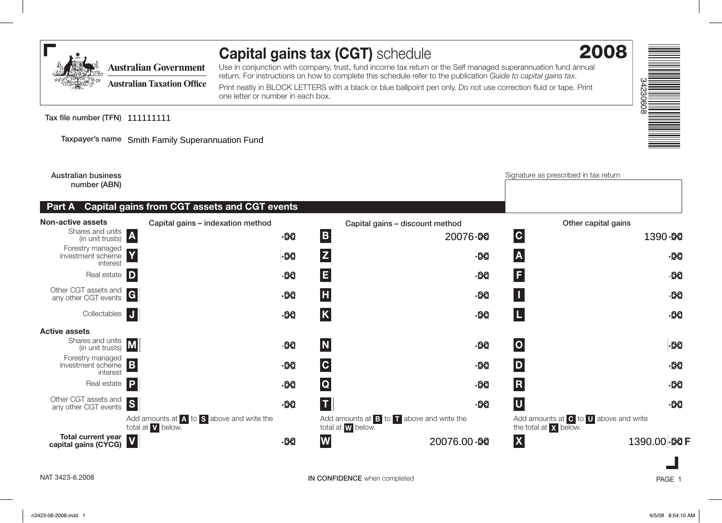

## **Capital gains tax (CGT)** schedule

Use in conjunction with company, trust, fund income tax return or the Self managed superannuation fund annual return. For instructions on how to complete this schedule refer to the publication *Guide to capital gains tax*.

Print neatly in BLOCK LETTERS with a black or blue ballpoint pen only. Do not use correction fluid or tape. Print one letter or number in each box.

Tax file number (TFN) 111111111

**Taxpayer's name** Smith Family Superannuation Fund

**Australian business number (ABN) Part A Capital gains from CGT assets and CGT events** Signature as prescribed in tax return **Capital gains – indexation method Capital gains – discount method Other capital gains** Shares and units<br>(in unit trusts) (in unit trusts) **<sup>A</sup> ,,, .00 <sup>B</sup> ,,, .00 <sup>C</sup> ,,, .00** Real estate **<sup>D</sup> ,,, .00 <sup>E</sup> ,,, .00 <sup>F</sup> ,,, .00** Other CGT assets and any other CGT events **<sup>G</sup> <sup>H</sup> <sup>I</sup> ,,, .00 ,,, .00 ,,, .00** Collectables **<sup>J</sup> ,,, .00 <sup>K</sup> ,,, .00 <sup>L</sup> ,,, .00 Non-active assets** Forestry managed investment scheme interest **<sup>Y</sup> ,,, .00 <sup>Z</sup> ,,, .00 <sup>A</sup> ,,, .00** Real estate **<sup>P</sup> ,,, .00 <sup>Q</sup> ,,, .00 <sup>R</sup> ,,, .00** Shares and units<br>(in unit trusts) **.00 D** *.00* **D** *.00* **<b>D** *.00* **D** *.00* **D** *.00* **D** *.00* **D** *.00* **D** *.000* **D** *.000* **D** *.000* Other CGT assets and **S .00 T** *.00* **T** *.00* **D** *.00* **U** *.00* **D** *.00* Add amounts at **A** to **S** above and write the total at **V** below. Add amounts at **B** to **T** above and write the total at **W** below. Add amounts at **C** to **U** above and write the total at **X** below. **Total current year capital gains (CYCG) <sup>V</sup> ,,, .00 <sup>W</sup> ,,, .00 <sup>X</sup> ,,, .00 <sup>F</sup> Active assets** Forestry managed investment scheme interest **<sup>B</sup> ,,, .00 <sup>C</sup> ,,, .00 <sup>D</sup> ,,, .00** 1390 - 00 20076.98 **A**<br> **20076.98 P**<br> **20076.00.98 P**<br> **20076.00.98 X**<br>
20076.00.98 X<br>
20076.00.98 X<br>
20076.00.98 X<br>
20076.00.98 X<br>
20076.00.98 2

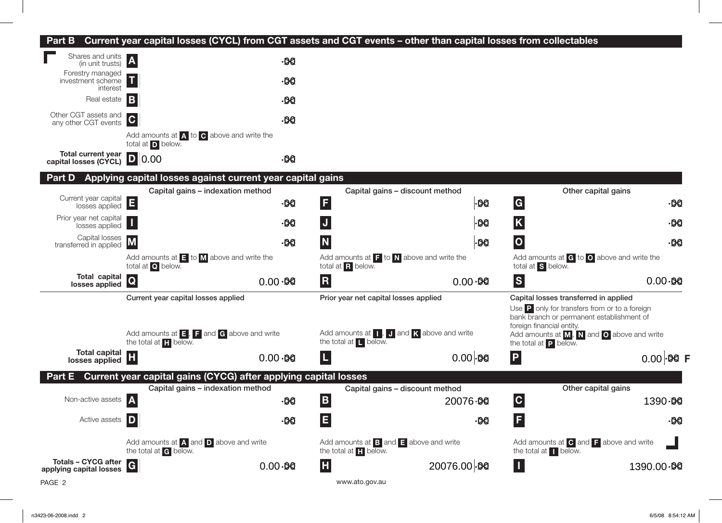## **Part B Current year capital losses (CYCL) from CGT assets and CGT events – other than capital losses from collectables**



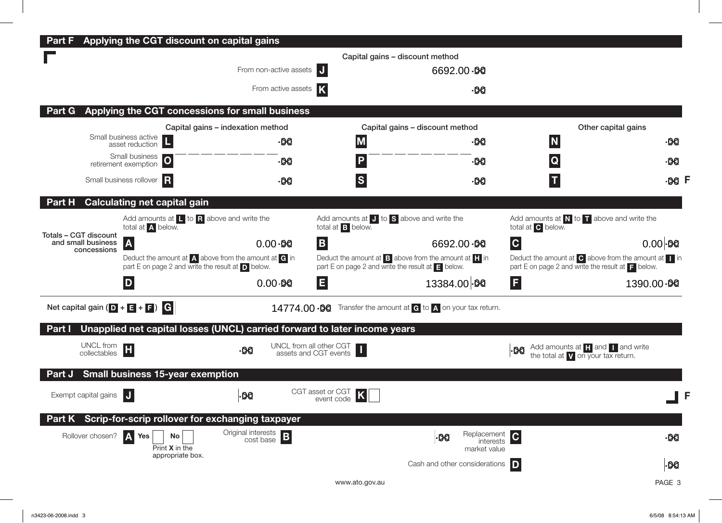